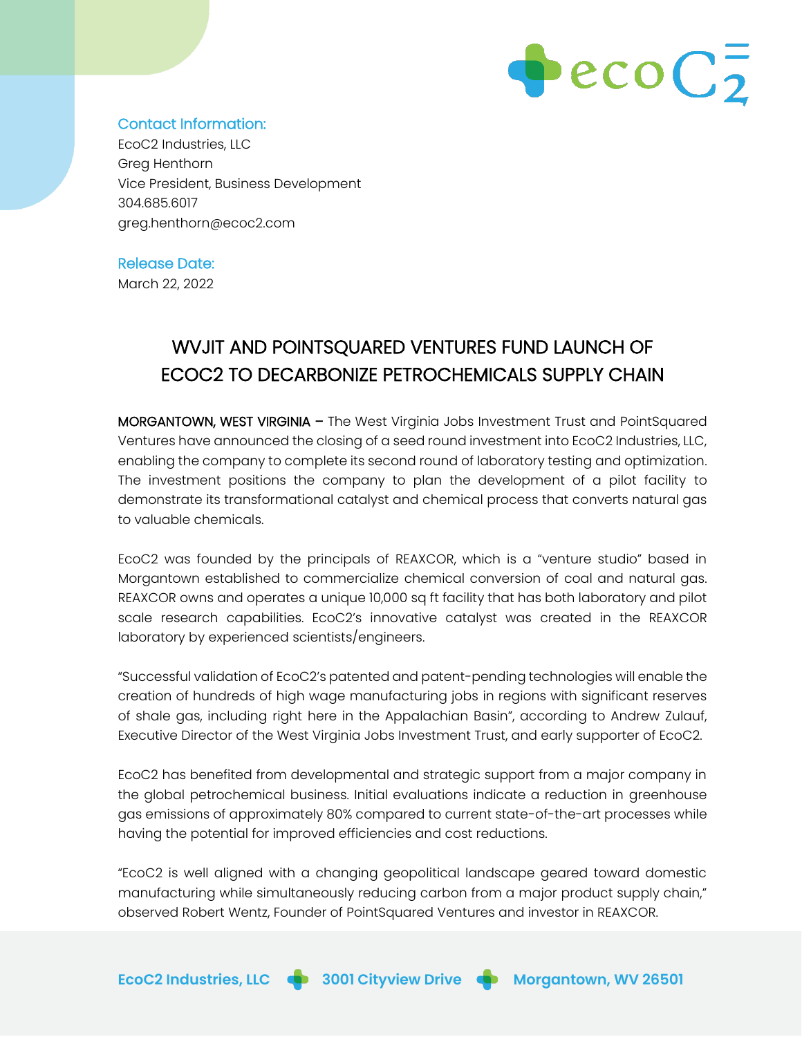

## Contact Information:

EcoC2 Industries, LLC Greg Henthorn Vice President, Business Development 304.685.6017 greg.henthorn@ecoc2.com

# Release Date:

March 22, 2022

# WVJIT AND POINTSQUARED VENTURES FUND LAUNCH OF ECOC2 TO DECARBONIZE PETROCHEMICALS SUPPLY CHAIN

MORGANTOWN, WEST VIRGINIA – The West Virginia Jobs Investment Trust and PointSquared Ventures have announced the closing of a seed round investment into EcoC2 Industries, LLC, enabling the company to complete its second round of laboratory testing and optimization. The investment positions the company to plan the development of a pilot facility to demonstrate its transformational catalyst and chemical process that converts natural gas to valuable chemicals.

EcoC2 was founded by the principals of REAXCOR, which is a "venture studio" based in Morgantown established to commercialize chemical conversion of coal and natural gas. REAXCOR owns and operates a unique 10,000 sq ft facility that has both laboratory and pilot scale research capabilities. EcoC2's innovative catalyst was created in the REAXCOR laboratory by experienced scientists/engineers.

"Successful validation of EcoC2's patented and patent-pending technologies will enable the creation of hundreds of high wage manufacturing jobs in regions with significant reserves of shale gas, including right here in the Appalachian Basin", according to Andrew Zulauf, Executive Director of the West Virginia Jobs Investment Trust, and early supporter of EcoC2.

EcoC2 has benefited from developmental and strategic support from a major company in the global petrochemical business. Initial evaluations indicate a reduction in greenhouse gas emissions of approximately 80% compared to current state-of-the-art processes while having the potential for improved efficiencies and cost reductions.

"EcoC2 is well aligned with a changing geopolitical landscape geared toward domestic manufacturing while simultaneously reducing carbon from a major product supply chain," observed Robert Wentz, Founder of PointSquared Ventures and investor in REAXCOR.